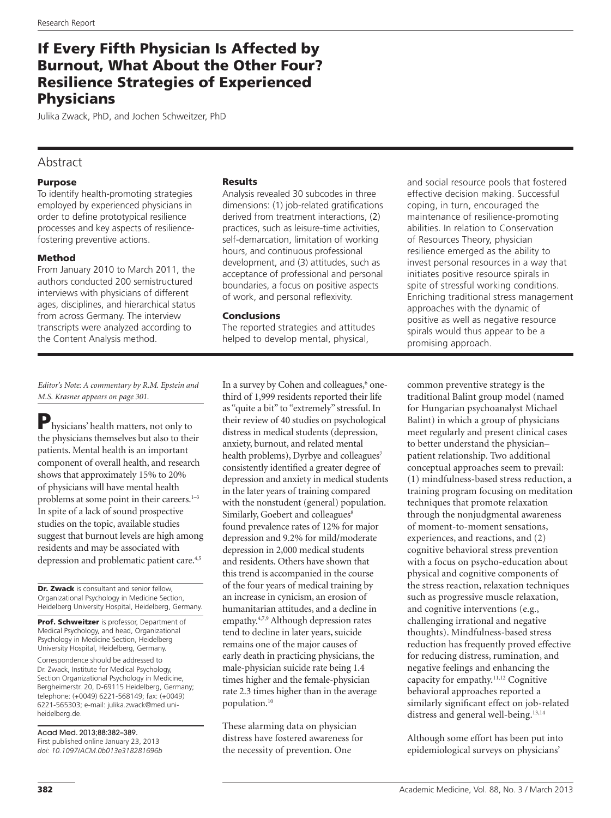# If Every Fifth Physician Is Affected by Burnout, What About the Other Four? Resilience Strategies of Experienced **Physicians**

Julika Zwack, PhD, and Jochen Schweitzer, PhD

# Abstract

# Purpose

To identify health-promoting strategies employed by experienced physicians in order to define prototypical resilience processes and key aspects of resiliencefostering preventive actions.

# Method

From January 2010 to March 2011, the authors conducted 200 semistructured interviews with physicians of different ages, disciplines, and hierarchical status from across Germany. The interview transcripts were analyzed according to the Content Analysis method.

## Results

Analysis revealed 30 subcodes in three dimensions: (1) job-related gratifications derived from treatment interactions, (2) practices, such as leisure-time activities, self-demarcation, limitation of working hours, and continuous professional development, and (3) attitudes, such as acceptance of professional and personal boundaries, a focus on positive aspects of work, and personal reflexivity.

## Conclusions

The reported strategies and attitudes helped to develop mental, physical,

*Editor's Note: A commentary by R.M. Epstein and M.S. Krasner appears on page 301.*

Physicians' health matters, not only to the physicians themselves but also to their patients. Mental health is an important component of overall health, and research shows that approximately 15% to 20% of physicians will have mental health problems at some point in their careers.<sup>1-3</sup> In spite of a lack of sound prospective studies on the topic, available studies suggest that burnout levels are high among residents and may be associated with depression and problematic patient care.4,5

Dr. Zwack is consultant and senior fellow, Organizational Psychology in Medicine Section, Heidelberg University Hospital, Heidelberg, Germany.

Prof. Schweitzer is professor, Department of Medical Psychology, and head, Organizational Psychology in Medicine Section, Heidelberg University Hospital, Heidelberg, Germany.

Correspondence should be addressed to Dr. Zwack, Institute for Medical Psychology, Section Organizational Psychology in Medicine, Bergheimerstr. 20, D-69115 Heidelberg, Germany; telephone: (+0049) 6221-568149; fax: (+0049) 6221-565303; e-mail: [julika.zwack@med.uni](mailto:julika.zwack@med.uni-heidelberg.de)[heidelberg.de.](mailto:julika.zwack@med.uni-heidelberg.de)

Acad Med. 2013;88:382–389. First published online January 23, 2013 *doi: 10.1097/ACM.0b013e318281696b*

In a survey by Cohen and colleagues,<sup>6</sup> onethird of 1,999 residents reported their life as "quite a bit" to "extremely" stressful. In their review of 40 studies on psychological distress in medical students (depression, anxiety, burnout, and related mental health problems), Dyrbye and colleagues<sup>7</sup> consistently identified a greater degree of depression and anxiety in medical students in the later years of training compared with the nonstudent (general) population. Similarly, Goebert and colleagues<sup>8</sup> found prevalence rates of 12% for major depression and 9.2% for mild/moderate depression in 2,000 medical students and residents. Others have shown that this trend is accompanied in the course of the four years of medical training by an increase in cynicism, an erosion of humanitarian attitudes, and a decline in empathy.4,7,9 Although depression rates tend to decline in later years, suicide remains one of the major causes of early death in practicing physicians, the male-physician suicide rate being 1.4 times higher and the female-physician rate 2.3 times higher than in the average population.10

These alarming data on physician distress have fostered awareness for the necessity of prevention. One

and social resource pools that fostered effective decision making. Successful coping, in turn, encouraged the maintenance of resilience-promoting abilities. In relation to Conservation of Resources Theory, physician resilience emerged as the ability to invest personal resources in a way that initiates positive resource spirals in spite of stressful working conditions. Enriching traditional stress management approaches with the dynamic of positive as well as negative resource spirals would thus appear to be a promising approach.

common preventive strategy is the traditional Balint group model (named for Hungarian psychoanalyst Michael Balint) in which a group of physicians meet regularly and present clinical cases to better understand the physician– patient relationship. Two additional conceptual approaches seem to prevail: (1) mindfulness-based stress reduction, a training program focusing on meditation techniques that promote relaxation through the nonjudgmental awareness of moment-to-moment sensations, experiences, and reactions, and (2) cognitive behavioral stress prevention with a focus on psycho-education about physical and cognitive components of the stress reaction, relaxation techniques such as progressive muscle relaxation, and cognitive interventions (e.g., challenging irrational and negative thoughts). Mindfulness-based stress reduction has frequently proved effective for reducing distress, rumination, and negative feelings and enhancing the capacity for empathy.11,12 Cognitive behavioral approaches reported a similarly significant effect on job-related distress and general well-being.<sup>13,14</sup>

Although some effort has been put into epidemiological surveys on physicians'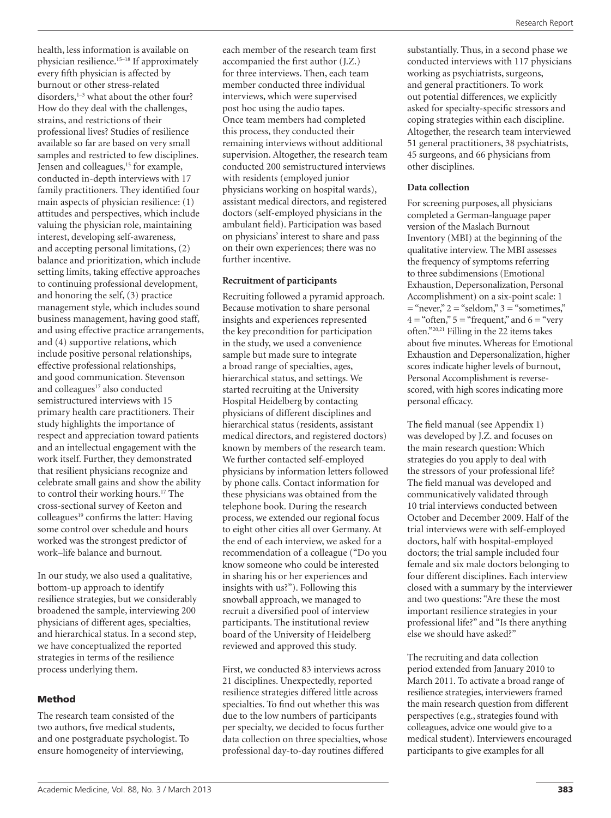health, less information is available on physician resilience.15–18 If approximately every fifth physician is affected by burnout or other stress-related disorders,<sup>1-3</sup> what about the other four? How do they deal with the challenges, strains, and restrictions of their professional lives? Studies of resilience available so far are based on very small samples and restricted to few disciplines. Jensen and colleagues,<sup>15</sup> for example, conducted in-depth interviews with 17 family practitioners. They identified four main aspects of physician resilience: (1) attitudes and perspectives, which include valuing the physician role, maintaining interest, developing self-awareness, and accepting personal limitations, (2) balance and prioritization, which include setting limits, taking effective approaches to continuing professional development, and honoring the self, (3) practice management style, which includes sound business management, having good staff, and using effective practice arrangements, and (4) supportive relations, which include positive personal relationships, effective professional relationships, and good communication. Stevenson and colleagues<sup>17</sup> also conducted semistructured interviews with 15 primary health care practitioners. Their study highlights the importance of respect and appreciation toward patients and an intellectual engagement with the work itself. Further, they demonstrated that resilient physicians recognize and celebrate small gains and show the ability to control their working hours.<sup>17</sup> The cross-sectional survey of Keeton and colleagues<sup>19</sup> confirms the latter: Having some control over schedule and hours worked was the strongest predictor of work–life balance and burnout.

In our study, we also used a qualitative, bottom-up approach to identify resilience strategies, but we considerably broadened the sample, interviewing 200 physicians of different ages, specialties, and hierarchical status. In a second step, we have conceptualized the reported strategies in terms of the resilience process underlying them.

# Method

The research team consisted of the two authors, five medical students, and one postgraduate psychologist. To ensure homogeneity of interviewing,

each member of the research team first accompanied the first author (J.Z.) for three interviews. Then, each team member conducted three individual interviews, which were supervised post hoc using the audio tapes. Once team members had completed this process, they conducted their remaining interviews without additional supervision. Altogether, the research team conducted 200 semistructured interviews with residents (employed junior physicians working on hospital wards), assistant medical directors, and registered doctors (self-employed physicians in the ambulant field). Participation was based on physicians' interest to share and pass on their own experiences; there was no further incentive.

## **Recruitment of participants**

Recruiting followed a pyramid approach. Because motivation to share personal insights and experiences represented the key precondition for participation in the study, we used a convenience sample but made sure to integrate a broad range of specialties, ages, hierarchical status, and settings. We started recruiting at the University Hospital Heidelberg by contacting physicians of different disciplines and hierarchical status (residents, assistant medical directors, and registered doctors) known by members of the research team. We further contacted self-employed physicians by information letters followed by phone calls. Contact information for these physicians was obtained from the telephone book. During the research process, we extended our regional focus to eight other cities all over Germany. At the end of each interview, we asked for a recommendation of a colleague ("Do you know someone who could be interested in sharing his or her experiences and insights with us?"). Following this snowball approach, we managed to recruit a diversified pool of interview participants. The institutional review board of the University of Heidelberg reviewed and approved this study.

First, we conducted 83 interviews across 21 disciplines. Unexpectedly, reported resilience strategies differed little across specialties. To find out whether this was due to the low numbers of participants per specialty, we decided to focus further data collection on three specialties, whose professional day-to-day routines differed

substantially. Thus, in a second phase we conducted interviews with 117 physicians working as psychiatrists, surgeons, and general practitioners. To work out potential differences, we explicitly asked for specialty-specific stressors and coping strategies within each discipline. Altogether, the research team interviewed 51 general practitioners, 38 psychiatrists, 45 surgeons, and 66 physicians from other disciplines.

# **Data collection**

For screening purposes, all physicians completed a German-language paper version of the Maslach Burnout Inventory (MBI) at the beginning of the qualitative interview. The MBI assesses the frequency of symptoms referring to three subdimensions (Emotional Exhaustion, Depersonalization, Personal Accomplishment) on a six-point scale: 1  $=$  "never,"  $2 =$  "seldom,"  $3 =$  "sometimes,"  $4 = \text{``often''} 5 = \text{``frequent''}$  and  $6 = \text{``very}$ often."20,21 Filling in the 22 items takes about five minutes. Whereas for Emotional Exhaustion and Depersonalization, higher scores indicate higher levels of burnout, Personal Accomplishment is reversescored, with high scores indicating more personal efficacy.

The field manual (see Appendix 1) was developed by J.Z. and focuses on the main research question: Which strategies do you apply to deal with the stressors of your professional life? The field manual was developed and communicatively validated through 10 trial interviews conducted between October and December 2009. Half of the trial interviews were with self-employed doctors, half with hospital-employed doctors; the trial sample included four female and six male doctors belonging to four different disciplines. Each interview closed with a summary by the interviewer and two questions: "Are these the most important resilience strategies in your professional life?" and "Is there anything else we should have asked?"

The recruiting and data collection period extended from January 2010 to March 2011. To activate a broad range of resilience strategies, interviewers framed the main research question from different perspectives (e.g., strategies found with colleagues, advice one would give to a medical student). Interviewers encouraged participants to give examples for all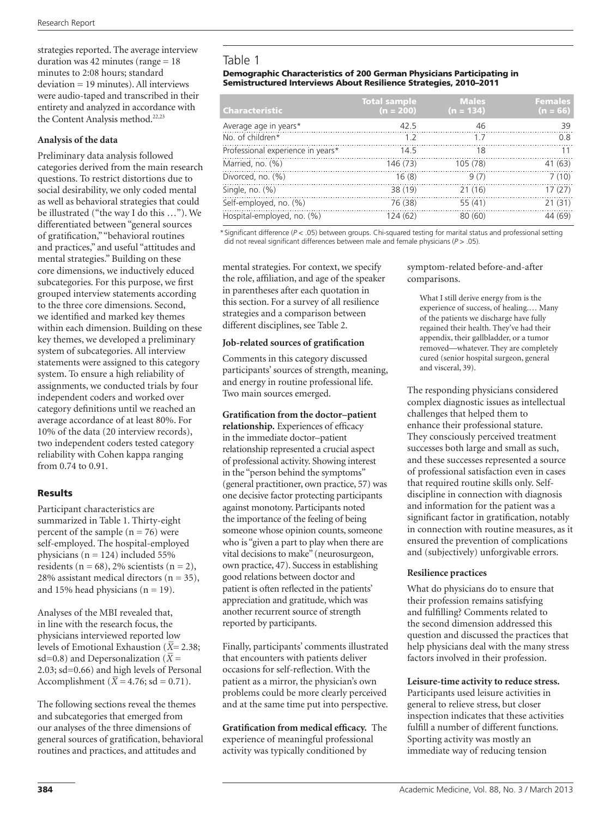strategies reported. The average interview duration was  $42$  minutes (range  $= 18$ ) minutes to 2:08 hours; standard deviation = 19 minutes). All interviews were audio-taped and transcribed in their entirety and analyzed in accordance with the Content Analysis method.<sup>22,23</sup>

# **Analysis of the data**

Preliminary data analysis followed categories derived from the main research questions. To restrict distortions due to social desirability, we only coded mental as well as behavioral strategies that could be illustrated ("the way I do this …"). We differentiated between "general sources of gratification," "behavioral routines and practices," and useful "attitudes and mental strategies." Building on these core dimensions, we inductively educed subcategories. For this purpose, we first grouped interview statements according to the three core dimensions. Second, we identified and marked key themes within each dimension. Building on these key themes, we developed a preliminary system of subcategories. All interview statements were assigned to this category system. To ensure a high reliability of assignments, we conducted trials by four independent coders and worked over category definitions until we reached an average accordance of at least 80%. For 10% of the data (20 interview records), two independent coders tested category reliability with Cohen kappa ranging from 0.74 to 0.91.

# **Results**

Participant characteristics are summarized in Table 1. Thirty-eight percent of the sample  $(n = 76)$  were self-employed. The hospital-employed physicians ( $n = 124$ ) included 55% residents ( $n = 68$ ), 2% scientists ( $n = 2$ ), 28% assistant medical directors ( $n = 35$ ), and 15% head physicians ( $n = 19$ ).

Analyses of the MBI revealed that, in line with the research focus, the physicians interviewed reported low levels of Emotional Exhaustion (*X − =* 2.38; sd=0.8) and Depersonalization ( $\bar{X}$  = 2.03; sd=0.66) and high levels of Personal Accomplishment ( $\bar{X} = 4.76$ ; sd = 0.71).

The following sections reveal the themes and subcategories that emerged from our analyses of the three dimensions of general sources of gratification, behavioral routines and practices, and attitudes and

# Table 1

#### Demographic Characteristics of 200 German Physicians Participating in Semistructured Interviews About Resilience Strategies, 2010–2011

| <b>Characteristic</b>             | <b>Total sample</b><br>$(n = 200)$ | <b>Males</b><br>$(n = 134)$ | <b>Females</b><br>$(n = 66)$ |
|-----------------------------------|------------------------------------|-----------------------------|------------------------------|
| Average age in years*             | 42.5                               | 46                          | 39                           |
| No. of children*                  | 12                                 | 17                          | 0.8                          |
| Professional experience in years* | 14.5                               | 18                          | 11                           |
| Married, no. (%)                  | 146 (73)                           | 105 (78)                    | 41 (63)                      |
| Divorced, no. (%)                 | 16(8)                              | 9(7)                        | 7(10)                        |
| Single, no. $(%)$                 | 38 (19)                            | 21(16)                      | 17(27)                       |
| Self-employed, no. (%)            | 76 (38)                            | 55(41)                      | 21(31)                       |
| Hospital-employed, no. (%)        | 124(62)                            | 80 (60)                     | 44 (69)                      |

\* Significant difference (*P* < .05) between groups. Chi-squared testing for marital status and professional setting did not reveal significant differences between male and female physicians (*P* > .05).

mental strategies. For context, we specify the role, affiliation, and age of the speaker in parentheses after each quotation in this section. For a survey of all resilience strategies and a comparison between different disciplines, see Table 2.

#### **Job-related sources of gratification**

Comments in this category discussed participants' sources of strength, meaning, and energy in routine professional life. Two main sources emerged.

## **Gratification from the doctor–patient**

**relationship.** Experiences of efficacy in the immediate doctor–patient relationship represented a crucial aspect of professional activity. Showing interest in the "person behind the symptoms" (general practitioner, own practice, 57) was one decisive factor protecting participants against monotony. Participants noted the importance of the feeling of being someone whose opinion counts, someone who is "given a part to play when there are vital decisions to make" (neurosurgeon, own practice, 47). Success in establishing good relations between doctor and patient is often reflected in the patients' appreciation and gratitude, which was another recurrent source of strength reported by participants.

Finally, participants' comments illustrated that encounters with patients deliver occasions for self-reflection. With the patient as a mirror, the physician's own problems could be more clearly perceived and at the same time put into perspective.

**Gratification from medical efficacy.** The experience of meaningful professional activity was typically conditioned by

symptom-related before-and-after comparisons.

What I still derive energy from is the experience of success, of healing.… Many of the patients we discharge have fully regained their health. They've had their appendix, their gallbladder, or a tumor removed—whatever. They are completely cured (senior hospital surgeon, general and visceral, 39).

The responding physicians considered complex diagnostic issues as intellectual challenges that helped them to enhance their professional stature. They consciously perceived treatment successes both large and small as such, and these successes represented a source of professional satisfaction even in cases that required routine skills only. Selfdiscipline in connection with diagnosis and information for the patient was a significant factor in gratification, notably in connection with routine measures, as it ensured the prevention of complications and (subjectively) unforgivable errors.

#### **Resilience practices**

What do physicians do to ensure that their profession remains satisfying and fulfilling? Comments related to the second dimension addressed this question and discussed the practices that help physicians deal with the many stress factors involved in their profession.

#### **Leisure-time activity to reduce stress.**

Participants used leisure activities in general to relieve stress, but closer inspection indicates that these activities fulfill a number of different functions. Sporting activity was mostly an immediate way of reducing tension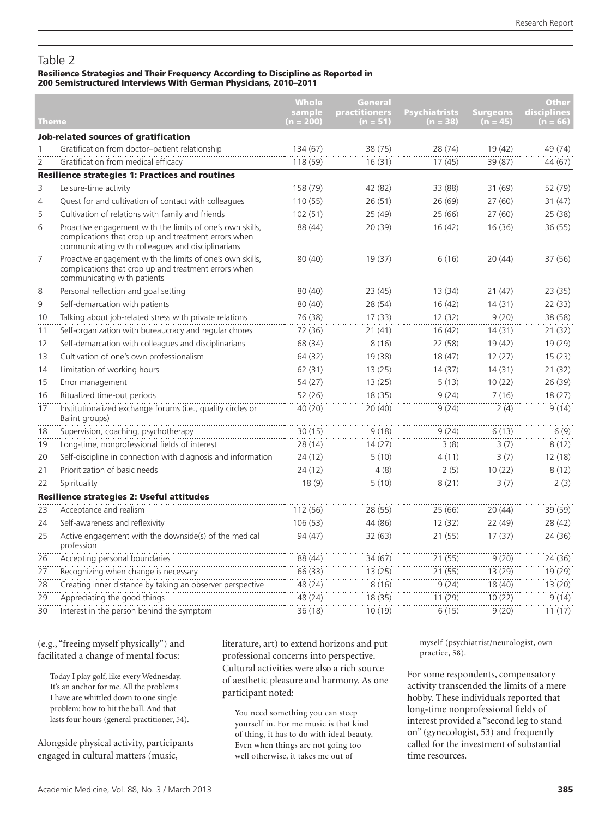# Table 2

#### Resilience Strategies and Their Frequency According to Discipline as Reported in 200 Semistructured Interviews With German Physicians, 2010–2011

|                 |                                                                                                                                                                        | <b>Whole</b><br>sample | <b>General</b><br><b>practitioners</b> | <b>Psychiatrists</b> | <b>Surgeons</b> | <b>Other</b><br>disciplines |
|-----------------|------------------------------------------------------------------------------------------------------------------------------------------------------------------------|------------------------|----------------------------------------|----------------------|-----------------|-----------------------------|
| Theme           |                                                                                                                                                                        | (n = 200)              | (n = 51)                               | $(n = 38)$           | $(n = 45)$      | $(n = 66)$                  |
|                 | Job-related sources of gratification                                                                                                                                   |                        |                                        |                      |                 |                             |
|                 | Gratification from doctor-patient relationship                                                                                                                         | 134 (67)               | 38 (75)                                | 28 (74)              | 19(42)          | 49 (74)                     |
| 2               | Gratification from medical efficacy                                                                                                                                    | 118 (59)               | 16(31)                                 | 17(45)               | 39 (87)         | 44 (67)                     |
|                 | <b>Resilience strategies 1: Practices and routines</b>                                                                                                                 |                        |                                        |                      |                 |                             |
| <br>З           | Leisure-time activity                                                                                                                                                  | 158(79)                | 42(82)                                 | 33(88)               | 31 (69)         | 52(79)                      |
| $\overline{4}$  | Quest for and cultivation of contact with colleagues                                                                                                                   | 110(55)                | 26(51)                                 | 26 (69)              | 27 (60)         | 31(47)                      |
| $\overline{5}$  | Cultivation of relations with family and friends                                                                                                                       | 102(51)                | 25(49)                                 | 25(66)               | 27(60)          | 25 (38)                     |
| 6               | Proactive engagement with the limits of one's own skills,<br>complications that crop up and treatment errors when<br>communicating with colleagues and disciplinarians | 88 (44)                | 20 (39)                                | 16(42)               | 16 (36)         | 36 (55)                     |
| 7               | Proactive engagement with the limits of one's own skills,<br>complications that crop up and treatment errors when<br>communicating with patients                       | 80 (40)                | 19(37)                                 | 6(16)                | 20 (44)         | 37 (56)                     |
| 8               | Personal reflection and goal setting                                                                                                                                   | 80 (40)                | 23(45)                                 | 13 (34)              | 21 (47)         | 23(35)                      |
| $\dddot{9}$     | Self-demarcation with patients                                                                                                                                         | 80(40)                 | 28(54)                                 | 16(42)               | 14(31)          | 22 (33)                     |
| 10              | Talking about job-related stress with private relations                                                                                                                | 76 (38)                | 17(33)                                 | 12 (32)              | 9(20)           | 38 (58)                     |
| 11              | Self-organization with bureaucracy and regular chores                                                                                                                  | 72 (36)                | 21(41)                                 | 16(42)               | 14(31)          | 21(32)                      |
| 12              | Self-demarcation with colleagues and disciplinarians                                                                                                                   | 68 (34)                | 8(16)                                  | 22 (58)              | 19 (42)         | 19(29)                      |
| 13              | Cultivation of one's own professionalism                                                                                                                               | 64(32)                 | 19 (38)                                | 18(47)               | 12(27)          | 15(23)                      |
| 14              | Limitation of working hours                                                                                                                                            | 62(31)                 | 13(25)                                 | 14(37)               | 14(31)          | 21(32)                      |
| $\overline{15}$ | Error management                                                                                                                                                       | 54(27)                 | 13(25)                                 | 5(13)                | 10(22)          | 26(39)                      |
| 16              | Ritualized time-out periods                                                                                                                                            | 52 (26)                | 18 (35)                                | 9(24)                | 7(16)           | 18(27)                      |
| 17              | Institutionalized exchange forums (i.e., quality circles or<br>Balint groups)                                                                                          | 40 (20)                | 20(40)                                 | 9(24)                | 2(4)            | 9(14)                       |
| 18              | Supervision, coaching, psychotherapy                                                                                                                                   | 30(15)                 | 9(18)                                  | 9(24)                | 6(13)           | 6(9)                        |
| 19              | Long-time, nonprofessional fields of interest                                                                                                                          | 28 (14)                | 14(27)                                 | 3(8)                 | 3(7)            | 8(12)                       |
| 20              | Self-discipline in connection with diagnosis and information                                                                                                           | 24(12)                 | 5(10)                                  | 4(11)                | 3(7)            | 12(18)                      |
| 21              | Prioritization of basic needs                                                                                                                                          | 24 (12)                | 4(8)                                   | 2(5)                 | 10(22)          | 8(12)                       |
| $\overline{22}$ | Spirituality                                                                                                                                                           | 18(9)                  | 5(10)                                  | 8(21)                | 3(7)            | 2(3)                        |
|                 | Resilience strategies 2: Useful attitudes                                                                                                                              |                        |                                        |                      |                 |                             |
| 23              | Acceptance and realism                                                                                                                                                 | 112 (56)               | 28 (55)                                | 25 (66)              | 20 (44)         | 39 (59)                     |
| 24              | Self-awareness and reflexivity                                                                                                                                         | 106 (53)               | 44 (86)                                | 12(32)               | 22 (49)         | 28 (42)                     |
| 25              | Active engagement with the downside(s) of the medical<br>profession                                                                                                    | 94 (47)                | 32 (63)                                | 21(55)               | 17(37)          | 24(36)                      |
| 26              | Accepting personal boundaries                                                                                                                                          | 88 (44)                | 34 (67)                                | 21 (55)              | 9(20)           | 24 (36)                     |
| 27              | Recognizing when change is necessary                                                                                                                                   | 66 (33)                | 13(25)                                 | 21(55)               | 13 (29)         | 19 (29)                     |
| 28              | Creating inner distance by taking an observer perspective                                                                                                              | 48 (24)                | 8(16)                                  | 9(24)                | 18 (40)         | 13(20)                      |
| 29              | Appreciating the good things                                                                                                                                           | 48 (24)                | 18 (35)                                | 11(29)               | 10(22)          | 9(14)                       |
| 30              | Interest in the person behind the symptom                                                                                                                              | 36(18)                 | 10(19)                                 | 6(15)                | 9(20)           | 11(17)                      |

(e.g., "freeing myself physically") and facilitated a change of mental focus:

Today I play golf, like every Wednesday. It's an anchor for me. All the problems I have are whittled down to one single problem: how to hit the ball. And that lasts four hours (general practitioner, 54).

Alongside physical activity, participants engaged in cultural matters (music,

literature, art) to extend horizons and put professional concerns into perspective. Cultural activities were also a rich source of aesthetic pleasure and harmony. As one participant noted:

You need something you can steep yourself in. For me music is that kind of thing, it has to do with ideal beauty. Even when things are not going too well otherwise, it takes me out of

myself (psychiatrist/neurologist, own practice, 58).

For some respondents, compensatory activity transcended the limits of a mere hobby. These individuals reported that long-time nonprofessional fields of interest provided a "second leg to stand on" (gynecologist, 53) and frequently called for the investment of substantial time resources.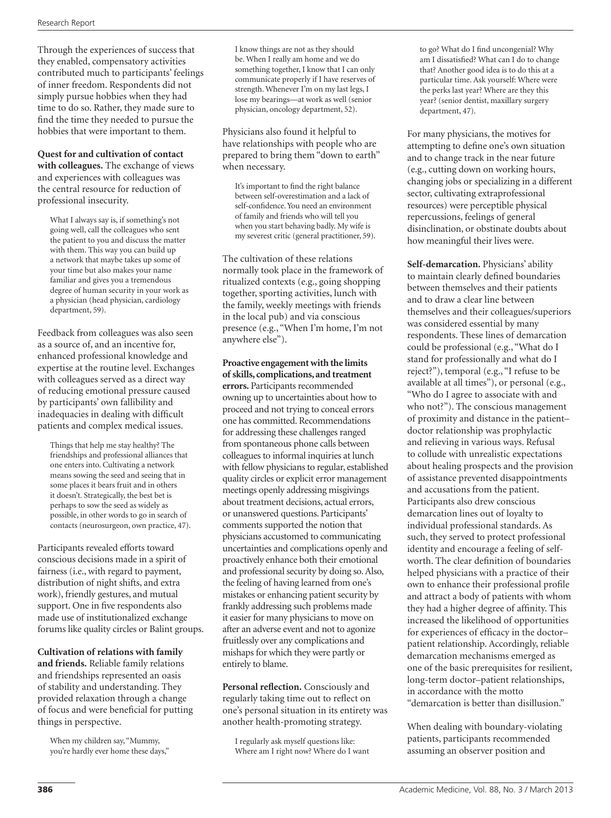Through the experiences of success that they enabled, compensatory activities contributed much to participants' feelings of inner freedom. Respondents did not simply pursue hobbies when they had time to do so. Rather, they made sure to find the time they needed to pursue the hobbies that were important to them.

#### **Quest for and cultivation of contact**

**with colleagues.** The exchange of views and experiences with colleagues was the central resource for reduction of professional insecurity.

What I always say is, if something's not going well, call the colleagues who sent the patient to you and discuss the matter with them. This way you can build up a network that maybe takes up some of your time but also makes your name familiar and gives you a tremendous degree of human security in your work as a physician (head physician, cardiology department, 59).

Feedback from colleagues was also seen as a source of, and an incentive for, enhanced professional knowledge and expertise at the routine level. Exchanges with colleagues served as a direct way of reducing emotional pressure caused by participants' own fallibility and inadequacies in dealing with difficult patients and complex medical issues.

Things that help me stay healthy? The friendships and professional alliances that one enters into. Cultivating a network means sowing the seed and seeing that in some places it bears fruit and in others it doesn't. Strategically, the best bet is perhaps to sow the seed as widely as possible, in other words to go in search of contacts (neurosurgeon, own practice, 47).

Participants revealed efforts toward conscious decisions made in a spirit of fairness (i.e., with regard to payment, distribution of night shifts, and extra work), friendly gestures, and mutual support. One in five respondents also made use of institutionalized exchange forums like quality circles or Balint groups.

**Cultivation of relations with family and friends.** Reliable family relations and friendships represented an oasis of stability and understanding. They provided relaxation through a change of focus and were beneficial for putting things in perspective.

When my children say, "Mummy, you're hardly ever home these days," I know things are not as they should be. When I really am home and we do something together, I know that I can only communicate properly if I have reserves of strength. Whenever I'm on my last legs, I lose my bearings—at work as well (senior physician, oncology department, 52).

Physicians also found it helpful to have relationships with people who are prepared to bring them "down to earth" when necessary.

It's important to find the right balance between self-overestimation and a lack of self-confidence. You need an environment of family and friends who will tell you when you start behaving badly. My wife is my severest critic (general practitioner, 59).

The cultivation of these relations normally took place in the framework of ritualized contexts (e.g., going shopping together, sporting activities, lunch with the family, weekly meetings with friends in the local pub) and via conscious presence (e.g., "When I'm home, I'm not anywhere else").

**Proactive engagement with the limits of skills, complications, and treatment errors.** Participants recommended owning up to uncertainties about how to proceed and not trying to conceal errors one has committed. Recommendations for addressing these challenges ranged from spontaneous phone calls between colleagues to informal inquiries at lunch with fellow physicians to regular, established quality circles or explicit error management meetings openly addressing misgivings about treatment decisions, actual errors, or unanswered questions. Participants' comments supported the notion that physicians accustomed to communicating uncertainties and complications openly and proactively enhance both their emotional and professional security by doing so. Also, the feeling of having learned from one's mistakes or enhancing patient security by frankly addressing such problems made it easier for many physicians to move on after an adverse event and not to agonize fruitlessly over any complications and mishaps for which they were partly or entirely to blame.

**Personal reflection.** Consciously and regularly taking time out to reflect on one's personal situation in its entirety was another health-promoting strategy.

I regularly ask myself questions like: Where am I right now? Where do I want to go? What do I find uncongenial? Why am I dissatisfied? What can I do to change that? Another good idea is to do this at a particular time. Ask yourself: Where were the perks last year? Where are they this year? (senior dentist, maxillary surgery department, 47).

For many physicians, the motives for attempting to define one's own situation and to change track in the near future (e.g., cutting down on working hours, changing jobs or specializing in a different sector, cultivating extraprofessional resources) were perceptible physical repercussions, feelings of general disinclination, or obstinate doubts about how meaningful their lives were.

**Self-demarcation.** Physicians' ability to maintain clearly defined boundaries between themselves and their patients and to draw a clear line between themselves and their colleagues/superiors was considered essential by many respondents. These lines of demarcation could be professional (e.g., "What do I stand for professionally and what do I reject?"), temporal (e.g., "I refuse to be available at all times"), or personal (e.g., "Who do I agree to associate with and who not?"). The conscious management of proximity and distance in the patient– doctor relationship was prophylactic and relieving in various ways. Refusal to collude with unrealistic expectations about healing prospects and the provision of assistance prevented disappointments and accusations from the patient. Participants also drew conscious demarcation lines out of loyalty to individual professional standards. As such, they served to protect professional identity and encourage a feeling of selfworth. The clear definition of boundaries helped physicians with a practice of their own to enhance their professional profile and attract a body of patients with whom they had a higher degree of affinity. This increased the likelihood of opportunities for experiences of efficacy in the doctor– patient relationship. Accordingly, reliable demarcation mechanisms emerged as one of the basic prerequisites for resilient, long-term doctor–patient relationships, in accordance with the motto "demarcation is better than disillusion."

When dealing with boundary-violating patients, participants recommended assuming an observer position and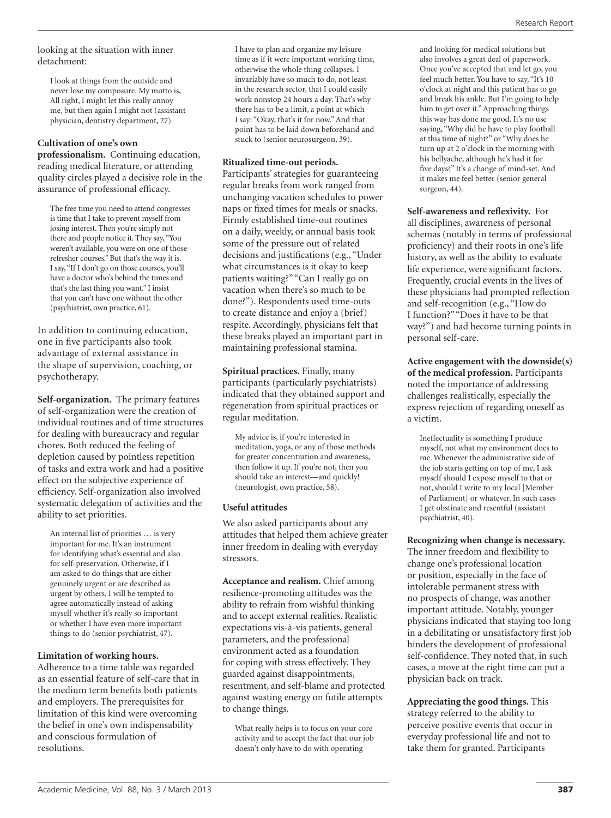#### looking at the situation with inner detachment:

I look at things from the outside and never lose my composure. My motto is, All right, I might let this really annoy me, but then again I might not (assistant physician, dentistry department, 27).

#### **Cultivation of one's own**

**professionalism.** Continuing education, reading medical literature, or attending quality circles played a decisive role in the assurance of professional efficacy.

The free time you need to attend congresses is time that I take to prevent myself from losing interest. Then you're simply not there and people notice it. They say, "You weren't available, you were on one of those refresher courses." But that's the way it is. I say, "If I don't go on those courses, you'll have a doctor who's behind the times and that's the last thing you want." I insist that you can't have one without the other (psychiatrist, own practice, 61).

In addition to continuing education, one in five participants also took advantage of external assistance in the shape of supervision, coaching, or psychotherapy.

**Self-organization.** The primary features of self-organization were the creation of individual routines and of time structures for dealing with bureaucracy and regular chores. Both reduced the feeling of depletion caused by pointless repetition of tasks and extra work and had a positive effect on the subjective experience of efficiency. Self-organization also involved systematic delegation of activities and the ability to set priorities.

An internal list of priorities … is very important for me. It's an instrument for identifying what's essential and also for self-preservation. Otherwise, if I am asked to do things that are either genuinely urgent or are described as urgent by others, I will be tempted to agree automatically instead of asking myself whether it's really so important or whether I have even more important things to do (senior psychiatrist, 47).

#### **Limitation of working hours.**

Adherence to a time table was regarded as an essential feature of self-care that in the medium term benefits both patients and employers. The prerequisites for limitation of this kind were overcoming the belief in one's own indispensability and conscious formulation of resolutions.

I have to plan and organize my leisure time as if it were important working time, otherwise the whole thing collapses. I invariably have so much to do, not least in the research sector, that I could easily work nonstop 24 hours a day. That's why there has to be a limit, a point at which I say: "Okay, that's it for now." And that point has to be laid down beforehand and stuck to (senior neurosurgeon, 39).

#### **Ritualized time-out periods.**

Participants' strategies for guaranteeing regular breaks from work ranged from unchanging vacation schedules to power naps or fixed times for meals or snacks. Firmly established time-out routines on a daily, weekly, or annual basis took some of the pressure out of related decisions and justifications (e.g., "Under what circumstances is it okay to keep patients waiting?" "Can I really go on vacation when there's so much to be done?"). Respondents used time-outs to create distance and enjoy a (brief) respite. Accordingly, physicians felt that these breaks played an important part in maintaining professional stamina.

**Spiritual practices.** Finally, many participants (particularly psychiatrists) indicated that they obtained support and regeneration from spiritual practices or regular meditation.

My advice is, if you're interested in meditation, yoga, or any of those methods for greater concentration and awareness, then follow it up. If you're not, then you should take an interest—and quickly! (neurologist, own practice, 58).

#### **Useful attitudes**

We also asked participants about any attitudes that helped them achieve greater inner freedom in dealing with everyday stressors.

**Acceptance and realism.** Chief among resilience-promoting attitudes was the ability to refrain from wishful thinking and to accept external realities. Realistic expectations vis-à-vis patients, general parameters, and the professional environment acted as a foundation for coping with stress effectively. They guarded against disappointments, resentment, and self-blame and protected against wasting energy on futile attempts to change things.

What really helps is to focus on your core activity and to accept the fact that our job doesn't only have to do with operating

and looking for medical solutions but also involves a great deal of paperwork. Once you've accepted that and let go, you feel much better. You have to say, "It's 10 o'clock at night and this patient has to go and break his ankle. But I'm going to help him to get over it." Approaching things this way has done me good. It's no use saying, "Why did he have to play football at this time of night?" or "Why does he turn up at 2 o'clock in the morning with his bellyache, although he's had it for five days?" It's a change of mind-set. And it makes me feel better (senior general surgeon, 44).

**Self-awareness and reflexivity.** For all disciplines, awareness of personal schemas (notably in terms of professional proficiency) and their roots in one's life history, as well as the ability to evaluate life experience, were significant factors. Frequently, crucial events in the lives of these physicians had prompted reflection and self-recognition (e.g., "How do I function?" "Does it have to be that way?") and had become turning points in personal self-care.

**Active engagement with the downside(s) of the medical profession.** Participants noted the importance of addressing challenges realistically, especially the express rejection of regarding oneself as a victim.

Ineffectuality is something I produce myself, not what my environment does to me. Whenever the administrative side of the job starts getting on top of me, I ask myself should I expose myself to that or not, should I write to my local [Member of Parliament] or whatever. In such cases I get obstinate and resentful (assistant psychiatrist, 40).

**Recognizing when change is necessary.** The inner freedom and flexibility to change one's professional location or position, especially in the face of intolerable permanent stress with no prospects of change, was another important attitude. Notably, younger physicians indicated that staying too long in a debilitating or unsatisfactory first job hinders the development of professional self-confidence. They noted that, in such cases, a move at the right time can put a physician back on track.

**Appreciating the good things.** This strategy referred to the ability to perceive positive events that occur in everyday professional life and not to take them for granted. Participants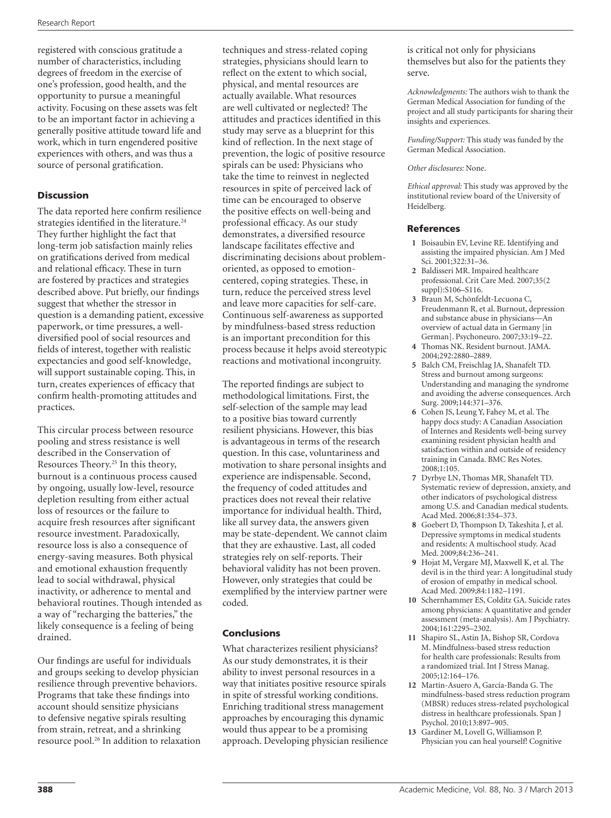registered with conscious gratitude a number of characteristics, including degrees of freedom in the exercise of one's profession, good health, and the opportunity to pursue a meaningful activity. Focusing on these assets was felt to be an important factor in achieving a generally positive attitude toward life and work, which in turn engendered positive experiences with others, and was thus a source of personal gratification.

# Discussion

The data reported here confirm resilience strategies identified in the literature.<sup>24</sup> They further highlight the fact that long-term job satisfaction mainly relies on gratifications derived from medical and relational efficacy. These in turn are fostered by practices and strategies described above. Put briefly, our findings suggest that whether the stressor in question is a demanding patient, excessive paperwork, or time pressures, a welldiversified pool of social resources and fields of interest, together with realistic expectancies and good self-knowledge, will support sustainable coping. This, in turn, creates experiences of efficacy that confirm health-promoting attitudes and practices.

This circular process between resource pooling and stress resistance is well described in the Conservation of Resources Theory.<sup>25</sup> In this theory, burnout is a continuous process caused by ongoing, usually low-level, resource depletion resulting from either actual loss of resources or the failure to acquire fresh resources after significant resource investment. Paradoxically, resource loss is also a consequence of energy-saving measures. Both physical and emotional exhaustion frequently lead to social withdrawal, physical inactivity, or adherence to mental and behavioral routines. Though intended as a way of "recharging the batteries," the likely consequence is a feeling of being drained.

Our findings are useful for individuals and groups seeking to develop physician resilience through preventive behaviors. Programs that take these findings into account should sensitize physicians to defensive negative spirals resulting from strain, retreat, and a shrinking resource pool.26 In addition to relaxation techniques and stress-related coping strategies, physicians should learn to reflect on the extent to which social, physical, and mental resources are actually available. What resources are well cultivated or neglected? The attitudes and practices identified in this study may serve as a blueprint for this kind of reflection. In the next stage of prevention, the logic of positive resource spirals can be used: Physicians who take the time to reinvest in neglected resources in spite of perceived lack of time can be encouraged to observe the positive effects on well-being and professional efficacy. As our study demonstrates, a diversified resource landscape facilitates effective and discriminating decisions about problemoriented, as opposed to emotioncentered, coping strategies. These, in turn, reduce the perceived stress level and leave more capacities for self-care. Continuous self-awareness as supported by mindfulness-based stress reduction is an important precondition for this process because it helps avoid stereotypic reactions and motivational incongruity.

The reported findings are subject to methodological limitations. First, the self-selection of the sample may lead to a positive bias toward currently resilient physicians. However, this bias is advantageous in terms of the research question. In this case, voluntariness and motivation to share personal insights and experience are indispensable. Second, the frequency of coded attitudes and practices does not reveal their relative importance for individual health. Third, like all survey data, the answers given may be state-dependent. We cannot claim that they are exhaustive. Last, all coded strategies rely on self-reports. Their behavioral validity has not been proven. However, only strategies that could be exemplified by the interview partner were coded.

#### Conclusions

What characterizes resilient physicians? As our study demonstrates, it is their ability to invest personal resources in a way that initiates positive resource spirals in spite of stressful working conditions. Enriching traditional stress management approaches by encouraging this dynamic would thus appear to be a promising approach. Developing physician resilience is critical not only for physicians themselves but also for the patients they serve.

*Acknowledgments:* The authors wish to thank the German Medical Association for funding of the project and all study participants for sharing their insights and experiences.

*Funding/Support:* This study was funded by the German Medical Association.

#### *Other disclosures:* None.

*Ethical approval:* This study was approved by the institutional review board of the University of Heidelberg.

#### References

- **1** Boisaubin EV, Levine RE. Identifying and assisting the impaired physician. Am J Med Sci. 2001;322:31–36.
- **2** Baldisseri MR. Impaired healthcare professional. Crit Care Med. 2007;35(2 suppl):S106–S116.
- **3** Braun M, Schönfeldt-Lecuona C, Freudenmann R, et al. Burnout, depression and substance abuse in physicians—An overview of actual data in Germany [in German]. Psychoneuro. 2007;33:19–22.
- **4** Thomas NK. Resident burnout. JAMA. 2004;292:2880–2889.
- **5** Balch CM, Freischlag JA, Shanafelt TD. Stress and burnout among surgeons: Understanding and managing the syndrome and avoiding the adverse consequences. Arch Surg. 2009;144:371–376.
- **6** Cohen JS, Leung Y, Fahey M, et al. The happy docs study: A Canadian Association of Internes and Residents well-being survey examining resident physician health and satisfaction within and outside of residency training in Canada. BMC Res Notes. 2008;1:105.
- **7** Dyrbye LN, Thomas MR, Shanafelt TD. Systematic review of depression, anxiety, and other indicators of psychological distress among U.S. and Canadian medical students. Acad Med. 2006;81:354–373.
- **8** Goebert D, Thompson D, Takeshita J, et al. Depressive symptoms in medical students and residents: A multischool study. Acad Med. 2009;84:236–241.
- **9** Hojat M, Vergare MJ, Maxwell K, et al. The devil is in the third year: A longitudinal study of erosion of empathy in medical school. Acad Med. 2009;84:1182–1191.
- **10** Schernhammer ES, Colditz GA. Suicide rates among physicians: A quantitative and gender assessment (meta-analysis). Am J Psychiatry. 2004;161:2295–2302.
- **11** Shapiro SL, Astin JA, Bishop SR, Cordova M. Mindfulness-based stress reduction for health care professionals: Results from a randomized trial. Int J Stress Manag. 2005;12:164–176.
- **12** Martín-Asuero A, García-Banda G. The mindfulness-based stress reduction program (MBSR) reduces stress-related psychological distress in healthcare professionals. Span J Psychol. 2010;13:897–905.
- **13** Gardiner M, Lovell G, Williamson P. Physician you can heal yourself! Cognitive